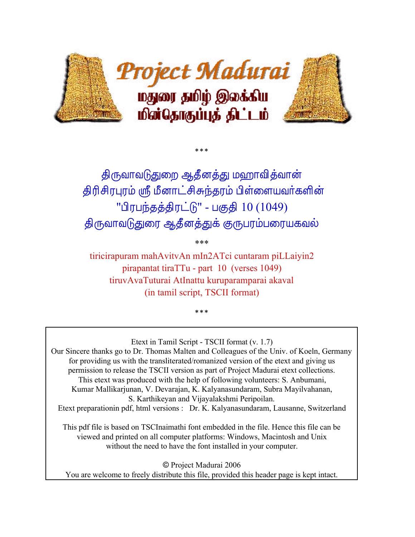

திருவாவடுதுறை ஆதீனத்து மஹாவித்வான் திரிசிரபுரம் ஸ்ரீ மீனாட்சிசுந்தரம் பிள்ளையவர்களின் "பிரபந்தத்திரட்டு" - பகுதி 10 (1049) திருவாவடுதுரை ஆதீனத்துக் குருபரம்பரையகவல்

 $***$ 

\*\*\*

tiricirapuram mahAvitvAn mIn2ATci cuntaram piLLaiyin2 pirapantat tiraTTu - part 10 (verses 1049) tiruvAvaTuturai AtInattu kuruparamparai akaval (in tamil script, TSCII format)

 $***$ 

Etext in Tamil Script - TSCII format (v. 1.7)

Our Sincere thanks go to Dr. Thomas Malten and Colleagues of the Univ. of Koeln, Germany for providing us with the transliterated/romanized version of the etext and giving us permission to release the TSCII version as part of Project Madurai etext collections. This etext was produced with the help of following volunteers: S. Anbumani, Kumar Mallikarjunan, V. Devarajan, K. Kalyanasundaram, Subra Mayilvahanan, S. Karthikeyan and Vijayalakshmi Peripoilan. Etext preparationin pdf, html versions : Dr. K. Kalyanasundaram, Lausanne, Switzerland

This pdf file is based on TSCInaimathi font embedded in the file. Hence this file can be viewed and printed on all computer platforms: Windows, Macintosh and Unix without the need to have the font installed in your computer.

© Project Madurai 2006 You are welcome to freely distribute this file, provided this header page is kept intact.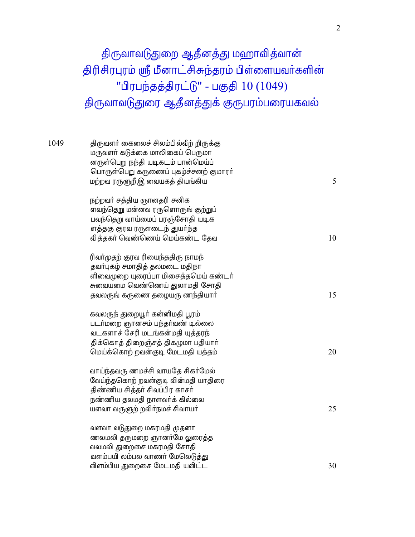## திருவாவடுதுறை ஆதீனத்து மஹாவித்வான் திரிசிரபுரம் ஸ்ரீ மீனாட்சிசுந்தரம் பிள்ளையவர்களின் "பிரபந்தத்திரட்டு" - பகுதி 10 (1049) திருவாவடுதுரை ஆதீனத்துக் குருபரம்பரையகவல்

| 1049 | திருவளர் கைலைச் சிலம்பில்வீற் றிருக்கு<br>மருவளர் கடுக்கை மாலிகைப் பெருமா<br>னருள்பெறு நந்தி யடிகடம் பான்மெய்ப்<br>பொருள்பெறு கருணைப் புகழ்ச்சனற் குமாரா்<br>மற்றவ ரருளுறீஇ வையகத் தியங்கிய | 5  |
|------|---------------------------------------------------------------------------------------------------------------------------------------------------------------------------------------------|----|
|      | நற்றவர் சத்திய ஞானதரி சனிக<br>ளவந்தெறு மன்னவ ரருளொருங் குற்றுப்<br>பவந்தெறு வாய்மைப் பரஞ்சோதி யடிக<br>ளத்தகு குரவ ரருளடைந் துயர்ந்த<br>வித்தகர் வெண்ணெய் மெய்கண்ட தேவ                       | 10 |
|      | ரிவா்முதற் குரவ ரியைந்ததிரு நாமந்<br>தவர்புகழ் சமாதித் தலமடை மதிநா<br>ளிவைமுறை யுரைப்பா மிசைத்தமெய் கண்டர்<br>சுவையமை வெண்ணெய் துலாமதி சோதி<br>தவலருங் கருணை தழையரு ணந்தியார்               | 15 |
|      | கவலருந் துறையூர் கன்னிமதி பூரம்<br>படர்மறை ஞானசம் பந்தர்வண் டில்லை<br>வடகளாச் சேரி மடங்கன்மதி யுத்தரந்<br>திக்கொத் திறைஞ்சத் திகழுமா பதியார்<br>மெய்க்கொற் றவன்குடி மேடமதி யத்தம்           | 20 |
|      | வாய்ந்தவரு ணமச்சி வாயதே சிகர்மேல்<br>வேய்ந்தகொற் றவன்குடி வின்மதி யாதிரை<br>திண்ணிய சித்தர் சிவப்பிர காசர்<br>நண்ணிய தலமதி நாளவர்க் கில்லை<br>யளவா வருளுற் றவிர்நமச் சிவாயர்                | 25 |
|      | வளவா வடுதுறை மகரமதி முதனா<br>ணலமலி தருமறை ஞானர்மே லுரைத்த<br>வலமலி துறைசை மகரமதி சோதி<br>வளம்பயி லம்பல வாணர் மேலெடுத்து<br>விளம்பிய துறைசை மேடமதி யவிட்ட                                    | 30 |